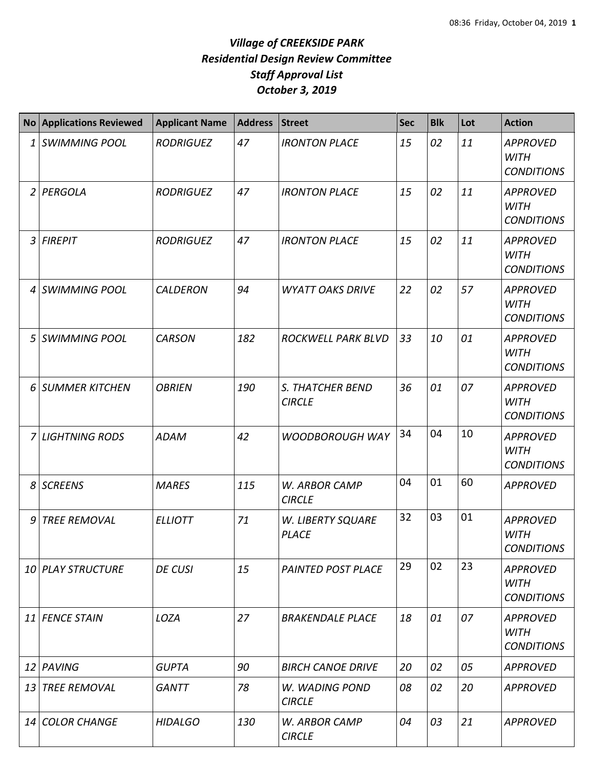|                 | No Applications Reviewed | <b>Applicant Name</b> | <b>Address</b> | <b>Street</b>                     | <b>Sec</b> | <b>Blk</b> | Lot | <b>Action</b>                                       |
|-----------------|--------------------------|-----------------------|----------------|-----------------------------------|------------|------------|-----|-----------------------------------------------------|
| 1               | <b>SWIMMING POOL</b>     | <b>RODRIGUEZ</b>      | 47             | <b>IRONTON PLACE</b>              | 15         | 02         | 11  | <b>APPROVED</b><br><b>WITH</b><br><b>CONDITIONS</b> |
| $\overline{2}$  | PERGOLA                  | <b>RODRIGUEZ</b>      | 47             | <b>IRONTON PLACE</b>              | 15         | 02         | 11  | <b>APPROVED</b><br><b>WITH</b><br><b>CONDITIONS</b> |
| 3               | <b>FIREPIT</b>           | <b>RODRIGUEZ</b>      | 47             | <b>IRONTON PLACE</b>              | 15         | 02         | 11  | <b>APPROVED</b><br><b>WITH</b><br><b>CONDITIONS</b> |
| 4               | <b>SWIMMING POOL</b>     | <b>CALDERON</b>       | 94             | <b>WYATT OAKS DRIVE</b>           | 22         | 02         | 57  | <b>APPROVED</b><br><b>WITH</b><br><b>CONDITIONS</b> |
| 5               | <b>SWIMMING POOL</b>     | <b>CARSON</b>         | 182            | <b>ROCKWELL PARK BLVD</b>         | 33         | 10         | 01  | <b>APPROVED</b><br><b>WITH</b><br><b>CONDITIONS</b> |
| 6               | <b>SUMMER KITCHEN</b>    | <b>OBRIEN</b>         | 190            | S. THATCHER BEND<br><b>CIRCLE</b> | 36         | 01         | 07  | <b>APPROVED</b><br><b>WITH</b><br><b>CONDITIONS</b> |
| $\overline{7}$  | <b>LIGHTNING RODS</b>    | <b>ADAM</b>           | 42             | <b>WOODBOROUGH WAY</b>            | 34         | 04         | 10  | <b>APPROVED</b><br><b>WITH</b><br><b>CONDITIONS</b> |
| 8               | <b>SCREENS</b>           | <b>MARES</b>          | 115            | W. ARBOR CAMP<br><b>CIRCLE</b>    | 04         | 01         | 60  | <b>APPROVED</b>                                     |
| 9               | <b>TREE REMOVAL</b>      | <b>ELLIOTT</b>        | 71             | W. LIBERTY SQUARE<br><b>PLACE</b> | 32         | 03         | 01  | <b>APPROVED</b><br><b>WITH</b><br><b>CONDITIONS</b> |
|                 | <b>10 PLAY STRUCTURE</b> | <b>DE CUSI</b>        | 15             | <b>PAINTED POST PLACE</b>         | 29         | 02         | 23  | <b>APPROVED</b><br><b>WITH</b><br><b>CONDITIONS</b> |
|                 | 11 FENCE STAIN           | LOZA                  | 27             | <b>BRAKENDALE PLACE</b>           | 18         | 01         | 07  | <b>APPROVED</b><br>WITH<br><b>CONDITIONS</b>        |
| 12 <sup>1</sup> | PAVING                   | <b>GUPTA</b>          | 90             | <b>BIRCH CANOE DRIVE</b>          | 20         | 02         | 05  | <b>APPROVED</b>                                     |
| 13              | <b>TREE REMOVAL</b>      | <b>GANTT</b>          | 78             | W. WADING POND<br><b>CIRCLE</b>   | 08         | 02         | 20  | <b>APPROVED</b>                                     |
|                 | 14 COLOR CHANGE          | <b>HIDALGO</b>        | 130            | W. ARBOR CAMP<br><b>CIRCLE</b>    | 04         | 03         | 21  | <b>APPROVED</b>                                     |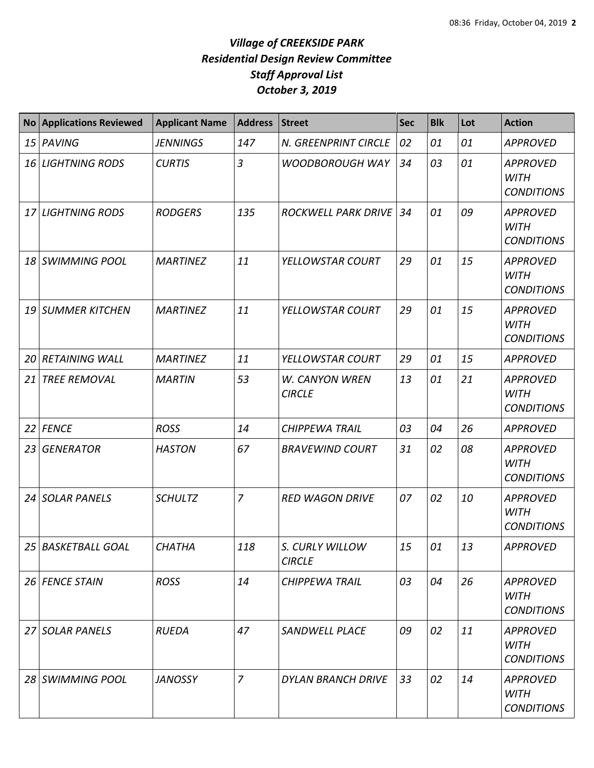| <b>No</b> | <b>Applications Reviewed</b> | <b>Applicant Name</b> | <b>Address</b> | <b>Street</b>                    | <b>Sec</b> | <b>Blk</b> | Lot | <b>Action</b>                                       |
|-----------|------------------------------|-----------------------|----------------|----------------------------------|------------|------------|-----|-----------------------------------------------------|
| 15        | PAVING                       | <b>JENNINGS</b>       | 147            | N. GREENPRINT CIRCLE             | 02         | 01         | 01  | <b>APPROVED</b>                                     |
| 16        | <b>LIGHTNING RODS</b>        | <b>CURTIS</b>         | $\overline{3}$ | <b>WOODBOROUGH WAY</b>           | 34         | 03         | 01  | <b>APPROVED</b><br><b>WITH</b><br><b>CONDITIONS</b> |
| 17        | <b>LIGHTNING RODS</b>        | <b>RODGERS</b>        | 135            | <b>ROCKWELL PARK DRIVE</b>       | 34         | 01         | 09  | <b>APPROVED</b><br><b>WITH</b><br><b>CONDITIONS</b> |
| 18        | <b>SWIMMING POOL</b>         | <b>MARTINEZ</b>       | 11             | YELLOWSTAR COURT                 | 29         | 01         | 15  | <b>APPROVED</b><br><b>WITH</b><br><b>CONDITIONS</b> |
| 19        | <b>SUMMER KITCHEN</b>        | <b>MARTINEZ</b>       | 11             | YELLOWSTAR COURT                 | 29         | 01         | 15  | <b>APPROVED</b><br><b>WITH</b><br><b>CONDITIONS</b> |
| 20        | <b>RETAINING WALL</b>        | <b>MARTINEZ</b>       | 11             | YELLOWSTAR COURT                 | 29         | 01         | 15  | <b>APPROVED</b>                                     |
| 21        | <b>TREE REMOVAL</b>          | <b>MARTIN</b>         | 53             | W. CANYON WREN<br><b>CIRCLE</b>  | 13         | 01         | 21  | <b>APPROVED</b><br><b>WITH</b><br><b>CONDITIONS</b> |
| 22        | <b>FENCE</b>                 | <b>ROSS</b>           | 14             | <b>CHIPPEWA TRAIL</b>            | 03         | 04         | 26  | <b>APPROVED</b>                                     |
| 23        | <b>GENERATOR</b>             | <b>HASTON</b>         | 67             | <b>BRAVEWIND COURT</b>           | 31         | 02         | 08  | <b>APPROVED</b><br><b>WITH</b><br><b>CONDITIONS</b> |
| 24        | <b>SOLAR PANELS</b>          | <b>SCHULTZ</b>        | 7              | <b>RED WAGON DRIVE</b>           | 07         | 02         | 10  | <b>APPROVED</b><br><b>WITH</b><br><b>CONDITIONS</b> |
|           | 25 BASKETBALL GOAL           | <b>CHATHA</b>         | 118            | S. CURLY WILLOW<br><b>CIRCLE</b> | 15         | 01         | 13  | <b>APPROVED</b>                                     |
|           | 26 FENCE STAIN               | <b>ROSS</b>           | 14             | <b>CHIPPEWA TRAIL</b>            | 03         | 04         | 26  | <b>APPROVED</b><br>WITH<br><b>CONDITIONS</b>        |
|           | 27 SOLAR PANELS              | <b>RUEDA</b>          | 47             | SANDWELL PLACE                   | 09         | 02         | 11  | <b>APPROVED</b><br>WITH<br><b>CONDITIONS</b>        |
|           | 28 SWIMMING POOL             | <b>JANOSSY</b>        | $\overline{7}$ | <b>DYLAN BRANCH DRIVE</b>        | 33         | 02         | 14  | <b>APPROVED</b><br>WITH<br><b>CONDITIONS</b>        |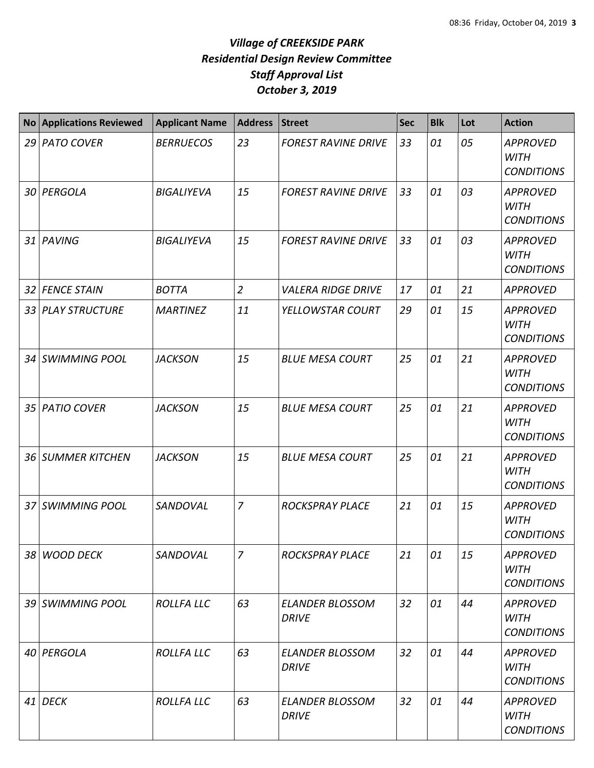|                 | <b>No Applications Reviewed</b> | <b>Applicant Name</b> | <b>Address</b> | <b>Street</b>                          | <b>Sec</b> | <b>Blk</b> | Lot | <b>Action</b>                                       |
|-----------------|---------------------------------|-----------------------|----------------|----------------------------------------|------------|------------|-----|-----------------------------------------------------|
|                 | 29 PATO COVER                   | <b>BERRUECOS</b>      | 23             | <b>FOREST RAVINE DRIVE</b>             | 33         | 01         | 05  | <b>APPROVED</b><br><b>WITH</b><br><b>CONDITIONS</b> |
|                 | 30 PERGOLA                      | <b>BIGALIYEVA</b>     | 15             | <b>FOREST RAVINE DRIVE</b>             | 33         | 01         | 03  | <b>APPROVED</b><br><b>WITH</b><br><b>CONDITIONS</b> |
|                 | 31 PAVING                       | <b>BIGALIYEVA</b>     | 15             | <b>FOREST RAVINE DRIVE</b>             | 33         | 01         | 03  | <b>APPROVED</b><br><b>WITH</b><br><b>CONDITIONS</b> |
| 32              | <b>FENCE STAIN</b>              | <b>BOTTA</b>          | $\overline{2}$ | <b>VALERA RIDGE DRIVE</b>              | 17         | 01         | 21  | <b>APPROVED</b>                                     |
|                 | 33 PLAY STRUCTURE               | <b>MARTINEZ</b>       | 11             | YELLOWSTAR COURT                       | 29         | 01         | 15  | <b>APPROVED</b><br><b>WITH</b><br><b>CONDITIONS</b> |
| 34 I            | <b>SWIMMING POOL</b>            | <b>JACKSON</b>        | 15             | <b>BLUE MESA COURT</b>                 | 25         | 01         | 21  | <b>APPROVED</b><br><b>WITH</b><br><b>CONDITIONS</b> |
| 35 <sub>1</sub> | <b>PATIO COVER</b>              | <b>JACKSON</b>        | 15             | <b>BLUE MESA COURT</b>                 | 25         | 01         | 21  | <b>APPROVED</b><br><b>WITH</b><br><b>CONDITIONS</b> |
|                 | 36 SUMMER KITCHEN               | <b>JACKSON</b>        | 15             | <b>BLUE MESA COURT</b>                 | 25         | 01         | 21  | <b>APPROVED</b><br><b>WITH</b><br><b>CONDITIONS</b> |
|                 | 37 SWIMMING POOL                | SANDOVAL              | $\overline{7}$ | <b>ROCKSPRAY PLACE</b>                 | 21         | 01         | 15  | <b>APPROVED</b><br><b>WITH</b><br><b>CONDITIONS</b> |
|                 | 38 WOOD DECK                    | SANDOVAL              | $\overline{7}$ | <b>ROCKSPRAY PLACE</b>                 | 21         | 01         | 15  | <b>APPROVED</b><br><b>WITH</b><br><b>CONDITIONS</b> |
|                 | 39 SWIMMING POOL                | <b>ROLLFA LLC</b>     | 63             | <b>ELANDER BLOSSOM</b><br><b>DRIVE</b> | 32         | 01         | 44  | <b>APPROVED</b><br><b>WITH</b><br><b>CONDITIONS</b> |
|                 | 40 PERGOLA                      | <b>ROLLFA LLC</b>     | 63             | <b>ELANDER BLOSSOM</b><br><b>DRIVE</b> | 32         | 01         | 44  | <b>APPROVED</b><br><b>WITH</b><br><b>CONDITIONS</b> |
|                 | 41 DECK                         | <b>ROLLFA LLC</b>     | 63             | <b>ELANDER BLOSSOM</b><br><b>DRIVE</b> | 32         | 01         | 44  | <b>APPROVED</b><br><b>WITH</b><br><b>CONDITIONS</b> |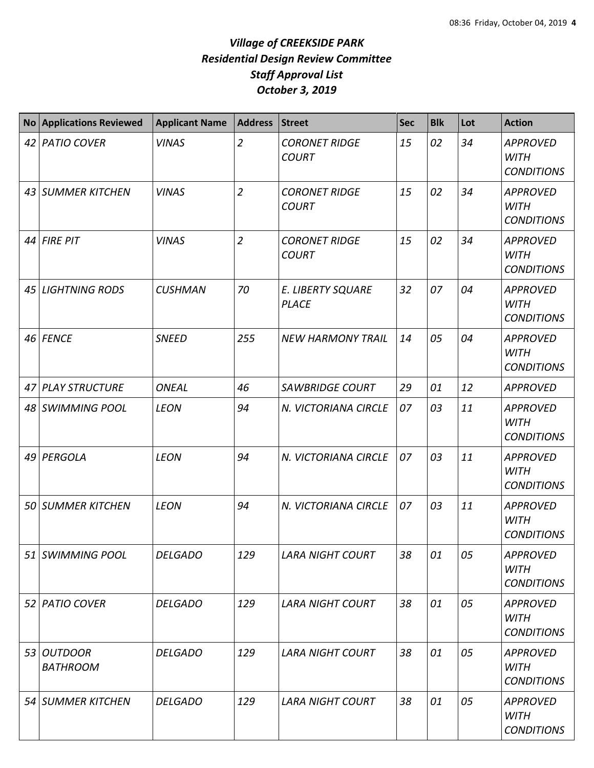| No Applications Reviewed      | <b>Applicant Name</b> | <b>Address</b> | Street                                   | <b>Sec</b> | <b>Blk</b> | Lot | <b>Action</b>                                       |
|-------------------------------|-----------------------|----------------|------------------------------------------|------------|------------|-----|-----------------------------------------------------|
| 42 PATIO COVER                | <b>VINAS</b>          | $\overline{2}$ | <b>CORONET RIDGE</b><br><b>COURT</b>     | 15         | 02         | 34  | <b>APPROVED</b><br><b>WITH</b><br><b>CONDITIONS</b> |
| 43 SUMMER KITCHEN             | <b>VINAS</b>          | $\overline{2}$ | <b>CORONET RIDGE</b><br><b>COURT</b>     | 15         | 02         | 34  | <b>APPROVED</b><br><b>WITH</b><br><b>CONDITIONS</b> |
| $44$ FIRE PIT                 | <b>VINAS</b>          | $\overline{2}$ | <b>CORONET RIDGE</b><br><b>COURT</b>     | 15         | 02         | 34  | <b>APPROVED</b><br><b>WITH</b><br><b>CONDITIONS</b> |
| 45 LIGHTNING RODS             | <b>CUSHMAN</b>        | 70             | <b>E. LIBERTY SQUARE</b><br><b>PLACE</b> | 32         | 07         | 04  | <b>APPROVED</b><br><b>WITH</b><br><b>CONDITIONS</b> |
| 46 FENCE                      | <b>SNEED</b>          | 255            | <b>NEW HARMONY TRAIL</b>                 | 14         | 05         | 04  | <b>APPROVED</b><br><b>WITH</b><br><b>CONDITIONS</b> |
| 47 PLAY STRUCTURE             | <b>ONEAL</b>          | 46             | <b>SAWBRIDGE COURT</b>                   | 29         | 01         | 12  | <b>APPROVED</b>                                     |
| 48 SWIMMING POOL              | <b>LEON</b>           | 94             | N. VICTORIANA CIRCLE                     | 07         | 03         | 11  | <b>APPROVED</b><br><b>WITH</b><br><b>CONDITIONS</b> |
| 49 PERGOLA                    | <b>LEON</b>           | 94             | N. VICTORIANA CIRCLE                     | 07         | 03         | 11  | <b>APPROVED</b><br><b>WITH</b><br><b>CONDITIONS</b> |
| <b>50 SUMMER KITCHEN</b>      | <b>LEON</b>           | 94             | N. VICTORIANA CIRCLE                     | 07         | 03         | 11  | <b>APPROVED</b><br><b>WITH</b><br><b>CONDITIONS</b> |
| 51 SWIMMING POOL              | <b>DELGADO</b>        | 129            | <b>LARA NIGHT COURT</b>                  | 38         | 01         | 05  | <b>APPROVED</b><br><b>WITH</b><br><b>CONDITIONS</b> |
| 52 PATIO COVER                | <b>DELGADO</b>        | 129            | <b>LARA NIGHT COURT</b>                  | 38         | 01         | 05  | <b>APPROVED</b><br><b>WITH</b><br><b>CONDITIONS</b> |
| 53 OUTDOOR<br><b>BATHROOM</b> | <b>DELGADO</b>        | 129            | <b>LARA NIGHT COURT</b>                  | 38         | 01         | 05  | <b>APPROVED</b><br><b>WITH</b><br><b>CONDITIONS</b> |
| 54 SUMMER KITCHEN             | <b>DELGADO</b>        | 129            | <b>LARA NIGHT COURT</b>                  | 38         | 01         | 05  | <b>APPROVED</b><br><b>WITH</b><br><b>CONDITIONS</b> |